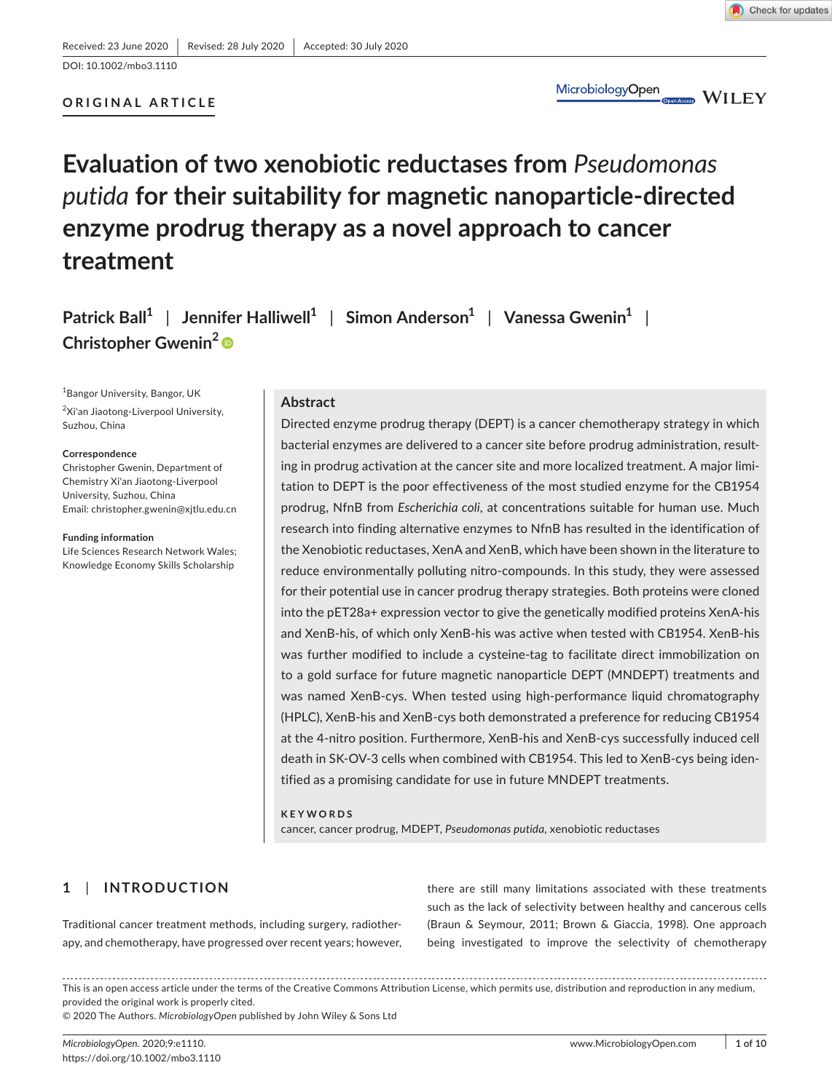**ORIGINAL ARTICLE**



MicrobiologyOpen OpenAccess WILEY

# **Evaluation of two xenobiotic reductases from** *Pseudomonas putida* **for their suitability for magnetic nanoparticle-directed enzyme prodrug therapy as a novel approach to cancer treatment**

**Patrick Ball<sup>1</sup>** | **Jennifer Halliwell<sup>1</sup>** | **Simon Anderson<sup>1</sup>** | **Vanessa Gwenin<sup>1</sup>** | **Christopher Gwenin<sup>2</sup>**

1 Bangor University, Bangor, UK <sup>2</sup>Xi'an Jiaotong-Liverpool University, Suzhou, China

#### **Correspondence**

Christopher Gwenin, Department of Chemistry Xi'an Jiaotong-Liverpool University, Suzhou, China Email: [christopher.gwenin@xjtlu.edu.cn](mailto:christopher.gwenin@xjtlu.edu.cn)

**Funding information** Life Sciences Research Network Wales; Knowledge Economy Skills Scholarship

### **Abstract**

Directed enzyme prodrug therapy (DEPT) is a cancer chemotherapy strategy in which bacterial enzymes are delivered to a cancer site before prodrug administration, resulting in prodrug activation at the cancer site and more localized treatment. A major limitation to DEPT is the poor effectiveness of the most studied enzyme for the CB1954 prodrug, NfnB from *Escherichia coli*, at concentrations suitable for human use. Much research into finding alternative enzymes to NfnB has resulted in the identification of the Xenobiotic reductases, XenA and XenB, which have been shown in the literature to reduce environmentally polluting nitro-compounds. In this study, they were assessed for their potential use in cancer prodrug therapy strategies. Both proteins were cloned into the pET28a+ expression vector to give the genetically modified proteins XenA-his and XenB-his, of which only XenB-his was active when tested with CB1954. XenB-his was further modified to include a cysteine-tag to facilitate direct immobilization on to a gold surface for future magnetic nanoparticle DEPT (MNDEPT) treatments and was named XenB-cys. When tested using high-performance liquid chromatography (HPLC), XenB-his and XenB-cys both demonstrated a preference for reducing CB1954 at the 4-nitro position. Furthermore, XenB-his and XenB-cys successfully induced cell death in SK-OV-3 cells when combined with CB1954. This led to XenB-cys being identified as a promising candidate for use in future MNDEPT treatments.

#### **KEYWORDS**

cancer, cancer prodrug, MDEPT, *Pseudomonas putida*, xenobiotic reductases

# **1**  | **INTRODUCTION**

Traditional cancer treatment methods, including surgery, radiotherapy, and chemotherapy, have progressed over recent years; however, there are still many limitations associated with these treatments such as the lack of selectivity between healthy and cancerous cells (Braun & Seymour, 2011; Brown & Giaccia, 1998). One approach being investigated to improve the selectivity of chemotherapy

This is an open access article under the terms of the Creative Commons [Attribution](http://creativecommons.org/licenses/by/4.0/) License, which permits use, distribution and reproduction in any medium, provided the original work is properly cited.

© 2020 The Authors. *MicrobiologyOpen* published by John Wiley & Sons Ltd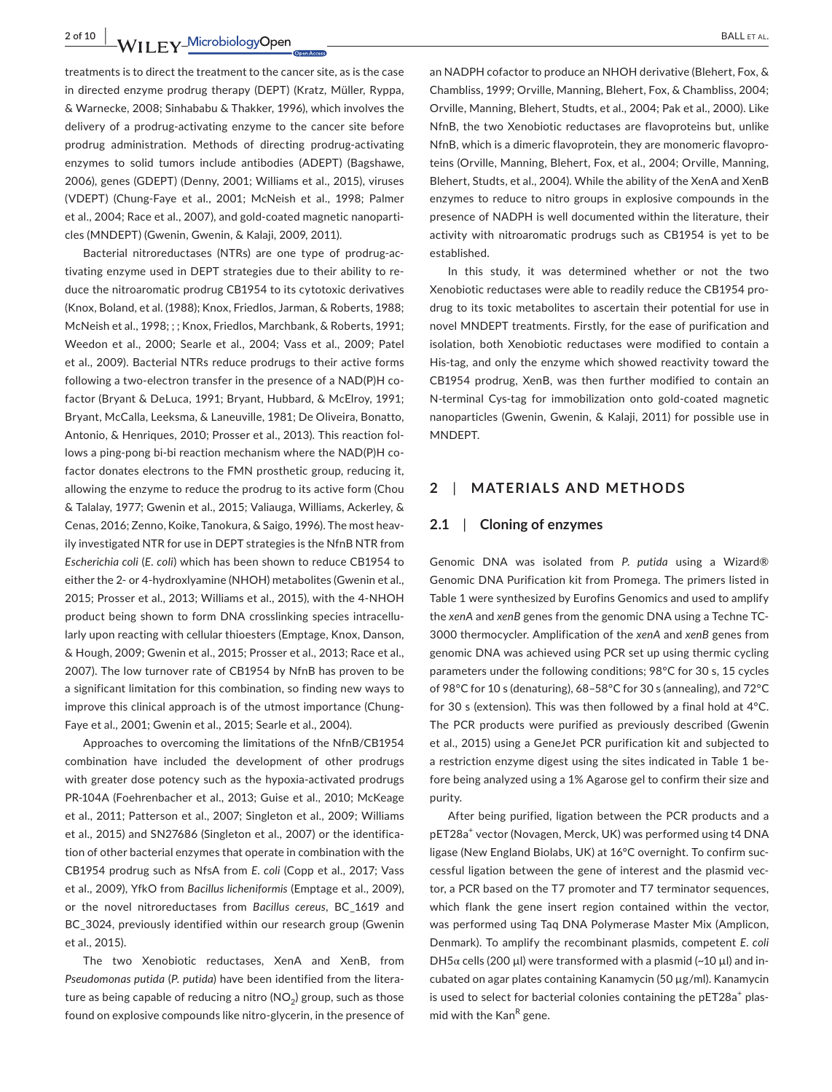**2** of 10 **a**<br>**WII FY\_MicrobiologyOpen ball et al.** 

treatments is to direct the treatment to the cancer site, as is the case in directed enzyme prodrug therapy (DEPT) (Kratz, Müller, Ryppa, & Warnecke, 2008; Sinhababu & Thakker, 1996), which involves the delivery of a prodrug-activating enzyme to the cancer site before prodrug administration. Methods of directing prodrug-activating enzymes to solid tumors include antibodies (ADEPT) (Bagshawe, 2006), genes (GDEPT) (Denny, 2001; Williams et al., 2015), viruses (VDEPT) (Chung-Faye et al., 2001; McNeish et al., 1998; Palmer et al., 2004; Race et al., 2007), and gold-coated magnetic nanoparticles (MNDEPT) (Gwenin, Gwenin, & Kalaji, 2009, 2011).

Bacterial nitroreductases (NTRs) are one type of prodrug-activating enzyme used in DEPT strategies due to their ability to reduce the nitroaromatic prodrug CB1954 to its cytotoxic derivatives (Knox, Boland, et al. (1988); Knox, Friedlos, Jarman, & Roberts, 1988; McNeish et al., 1998; ; ; Knox, Friedlos, Marchbank, & Roberts, 1991; Weedon et al., 2000; Searle et al., 2004; Vass et al., 2009; Patel et al., 2009). Bacterial NTRs reduce prodrugs to their active forms following a two-electron transfer in the presence of a NAD(P)H cofactor (Bryant & DeLuca, 1991; Bryant, Hubbard, & McElroy, 1991; Bryant, McCalla, Leeksma, & Laneuville, 1981; De Oliveira, Bonatto, Antonio, & Henriques, 2010; Prosser et al., 2013). This reaction follows a ping-pong bi-bi reaction mechanism where the NAD(P)H cofactor donates electrons to the FMN prosthetic group, reducing it, allowing the enzyme to reduce the prodrug to its active form (Chou & Talalay, 1977; Gwenin et al., 2015; Valiauga, Williams, Ackerley, & Cenas, 2016; Zenno, Koike, Tanokura, & Saigo, 1996). The most heavily investigated NTR for use in DEPT strategies is the NfnB NTR from *Escherichia coli* (*E*. *coli*) which has been shown to reduce CB1954 to either the 2- or 4-hydroxlyamine (NHOH) metabolites (Gwenin et al., 2015; Prosser et al., 2013; Williams et al., 2015), with the 4-NHOH product being shown to form DNA crosslinking species intracellularly upon reacting with cellular thioesters (Emptage, Knox, Danson, & Hough, 2009; Gwenin et al., 2015; Prosser et al., 2013; Race et al., 2007). The low turnover rate of CB1954 by NfnB has proven to be a significant limitation for this combination, so finding new ways to improve this clinical approach is of the utmost importance (Chung-Faye et al., 2001; Gwenin et al., 2015; Searle et al., 2004).

Approaches to overcoming the limitations of the NfnB/CB1954 combination have included the development of other prodrugs with greater dose potency such as the hypoxia-activated prodrugs PR-104A (Foehrenbacher et al., 2013; Guise et al., 2010; McKeage et al., 2011; Patterson et al., 2007; Singleton et al., 2009; Williams et al., 2015) and SN27686 (Singleton et al., 2007) or the identification of other bacterial enzymes that operate in combination with the CB1954 prodrug such as NfsA from *E*. *coli* (Copp et al., 2017; Vass et al., 2009), YfkO from *Bacillus licheniformis* (Emptage et al., 2009), or the novel nitroreductases from *Bacillus cereus*, BC\_1619 and BC\_3024, previously identified within our research group (Gwenin et al., 2015).

The two Xenobiotic reductases, XenA and XenB, from *Pseudomonas putida* (*P*. *putida*) have been identified from the literature as being capable of reducing a nitro ( $NO<sub>2</sub>$ ) group, such as those found on explosive compounds like nitro-glycerin, in the presence of an NADPH cofactor to produce an NHOH derivative (Blehert, Fox, & Chambliss, 1999; Orville, Manning, Blehert, Fox, & Chambliss, 2004; Orville, Manning, Blehert, Studts, et al., 2004; Pak et al., 2000). Like NfnB, the two Xenobiotic reductases are flavoproteins but, unlike NfnB, which is a dimeric flavoprotein, they are monomeric flavoproteins (Orville, Manning, Blehert, Fox, et al., 2004; Orville, Manning, Blehert, Studts, et al., 2004). While the ability of the XenA and XenB enzymes to reduce to nitro groups in explosive compounds in the presence of NADPH is well documented within the literature, their activity with nitroaromatic prodrugs such as CB1954 is yet to be established.

In this study, it was determined whether or not the two Xenobiotic reductases were able to readily reduce the CB1954 prodrug to its toxic metabolites to ascertain their potential for use in novel MNDEPT treatments. Firstly, for the ease of purification and isolation, both Xenobiotic reductases were modified to contain a His-tag, and only the enzyme which showed reactivity toward the CB1954 prodrug, XenB, was then further modified to contain an N-terminal Cys-tag for immobilization onto gold-coated magnetic nanoparticles (Gwenin, Gwenin, & Kalaji, 2011) for possible use in MNDEPT.

# **2**  | **MATERIALS AND METHODS**

## **2.1**  | **Cloning of enzymes**

Genomic DNA was isolated from *P. putida* using a Wizard® Genomic DNA Purification kit from Promega. The primers listed in Table 1 were synthesized by Eurofins Genomics and used to amplify the *xenA* and *xenB* genes from the genomic DNA using a Techne TC-3000 thermocycler. Amplification of the *xenA* and *xenB* genes from genomic DNA was achieved using PCR set up using thermic cycling parameters under the following conditions; 98°C for 30 s, 15 cycles of 98°C for 10 s (denaturing), 68–58°C for 30 s (annealing), and 72°C for 30 s (extension). This was then followed by a final hold at 4°C. The PCR products were purified as previously described (Gwenin et al., 2015) using a GeneJet PCR purification kit and subjected to a restriction enzyme digest using the sites indicated in Table 1 before being analyzed using a 1% Agarose gel to confirm their size and purity.

After being purified, ligation between the PCR products and a pET28a<sup>+</sup> vector (Novagen, Merck, UK) was performed using t4 DNA ligase (New England Biolabs, UK) at 16°C overnight. To confirm successful ligation between the gene of interest and the plasmid vector, a PCR based on the T7 promoter and T7 terminator sequences, which flank the gene insert region contained within the vector, was performed using Taq DNA Polymerase Master Mix (Amplicon, Denmark). To amplify the recombinant plasmids, competent *E*. *coli*  $DH5\alpha$  cells (200 µl) were transformed with a plasmid (~10 µl) and incubated on agar plates containing Kanamycin (50 µg/ml). Kanamycin is used to select for bacterial colonies containing the pET28a<sup>+</sup> plasmid with the Kan<sup>R</sup> gene.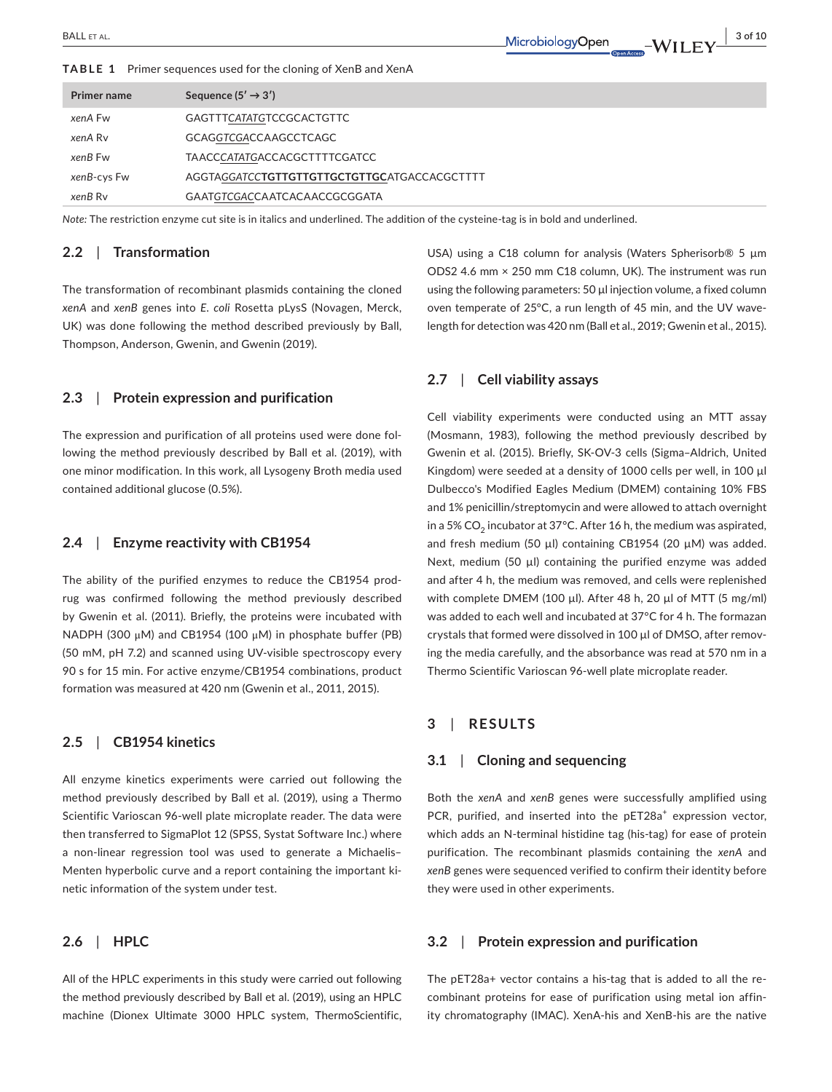**TABLE 1**  Primer sequences used for the cloning of XenB and XenA

| Primer name | Sequence $(5' \rightarrow 3')$                       |
|-------------|------------------------------------------------------|
| xenA Fw     | <b>GAGTTTCATATGTCCGCACTGTTC</b>                      |
| xenA Ry     | GCAGGTCGACCAAGCCTCAGC                                |
| xenB Fw     | <b>TAACCCATATGACCACGCTTTTCGATCC</b>                  |
| xenB-cys Fw | AGGTAGGATCC <b>TGTTGTTGTTGCTGTTGC</b> ATGACCACGCTTTT |
| xenB Ry     | GAATGTCGACCAATCACAACCGCGGATA                         |

*Note:* The restriction enzyme cut site is in italics and underlined. The addition of the cysteine-tag is in bold and underlined.

## **2.2**  | **Transformation**

The transformation of recombinant plasmids containing the cloned *xenA* and *xenB* genes into *E*. *coli* Rosetta pLysS (Novagen, Merck, UK) was done following the method described previously by Ball, Thompson, Anderson, Gwenin, and Gwenin (2019).

# **2.3**  | **Protein expression and purification**

The expression and purification of all proteins used were done following the method previously described by Ball et al. (2019), with one minor modification. In this work, all Lysogeny Broth media used contained additional glucose (0.5%).

#### **2.4**  | **Enzyme reactivity with CB1954**

The ability of the purified enzymes to reduce the CB1954 prodrug was confirmed following the method previously described by Gwenin et al. (2011). Briefly, the proteins were incubated with NADPH (300 μM) and CB1954 (100 μM) in phosphate buffer (PB) (50 mM, pH 7.2) and scanned using UV-visible spectroscopy every 90 s for 15 min. For active enzyme/CB1954 combinations, product formation was measured at 420 nm (Gwenin et al., 2011, 2015).

# **2.5**  | **CB1954 kinetics**

All enzyme kinetics experiments were carried out following the method previously described by Ball et al. (2019), using a Thermo Scientific Varioscan 96-well plate microplate reader. The data were then transferred to SigmaPlot 12 (SPSS, Systat Software Inc.) where a non-linear regression tool was used to generate a Michaelis– Menten hyperbolic curve and a report containing the important kinetic information of the system under test.

## **2.6**  | **HPLC**

All of the HPLC experiments in this study were carried out following the method previously described by Ball et al. (2019), using an HPLC machine (Dionex Ultimate 3000 HPLC system, ThermoScientific, USA) using a C18 column for analysis (Waters Spherisorb<sup>®</sup> 5 µm ODS2 4.6 mm × 250 mm C18 column, UK). The instrument was run using the following parameters: 50 µl injection volume, a fixed column oven temperate of 25°C, a run length of 45 min, and the UV wavelength for detection was 420 nm (Ball et al., 2019; Gwenin et al., 2015).

# **2.7**  | **Cell viability assays**

Cell viability experiments were conducted using an MTT assay (Mosmann, 1983), following the method previously described by Gwenin et al. (2015). Briefly, SK-OV-3 cells (Sigma–Aldrich, United Kingdom) were seeded at a density of 1000 cells per well, in 100 µl Dulbecco's Modified Eagles Medium (DMEM) containing 10% FBS and 1% penicillin/streptomycin and were allowed to attach overnight in a 5% CO<sub>2</sub> incubator at 37°C. After 16 h, the medium was aspirated, and fresh medium (50 µl) containing CB1954 (20 µM) was added. Next, medium (50 µl) containing the purified enzyme was added and after 4 h, the medium was removed, and cells were replenished with complete DMEM (100 µl). After 48 h, 20 µl of MTT (5 mg/ml) was added to each well and incubated at 37°C for 4 h. The formazan crystals that formed were dissolved in 100 µl of DMSO, after removing the media carefully, and the absorbance was read at 570 nm in a Thermo Scientific Varioscan 96-well plate microplate reader.

## **3**  | **RESULTS**

## **3.1**  | **Cloning and sequencing**

Both the *xenA* and *xenB* genes were successfully amplified using PCR, purified, and inserted into the pET28a<sup>+</sup> expression vector, which adds an N-terminal histidine tag (his-tag) for ease of protein purification. The recombinant plasmids containing the *xenA* and *xenB* genes were sequenced verified to confirm their identity before they were used in other experiments.

## **3.2**  | **Protein expression and purification**

The pET28a+ vector contains a his-tag that is added to all the recombinant proteins for ease of purification using metal ion affinity chromatography (IMAC). XenA-his and XenB-his are the native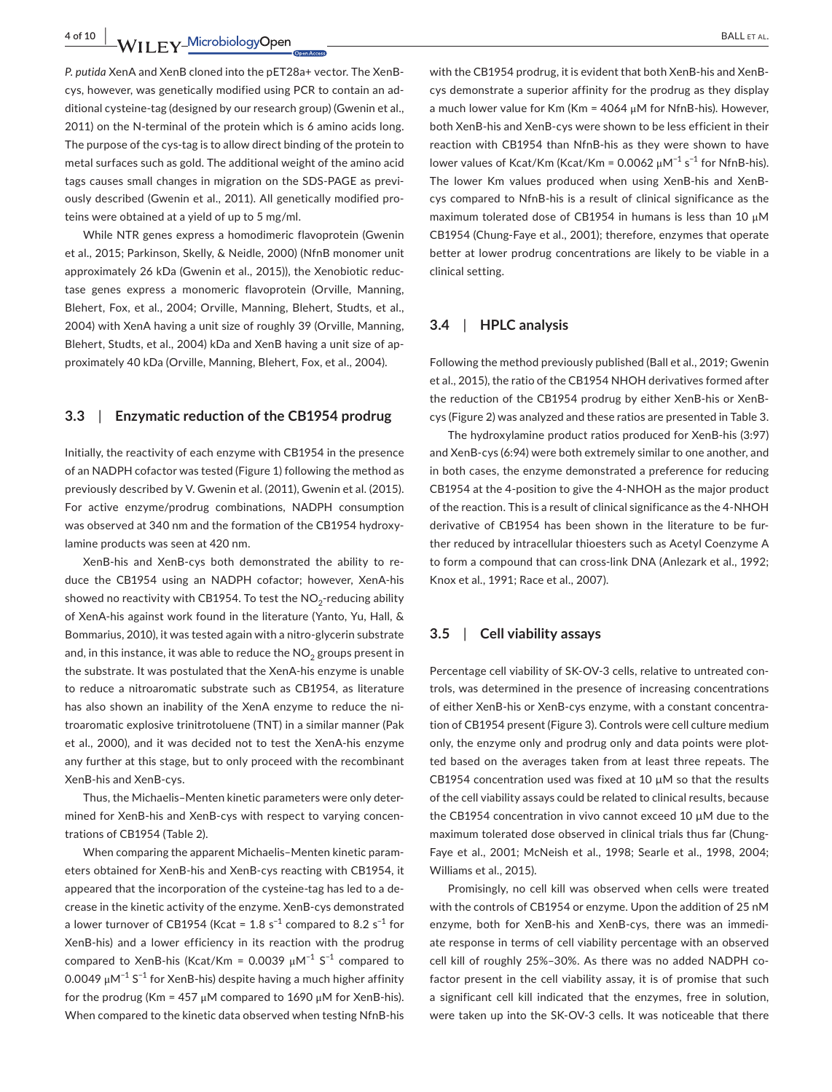**4 of 10 WII FY Microbiology Open** BALL ET AL.

*P. putida* XenA and XenB cloned into the pET28a+ vector. The XenBcys, however, was genetically modified using PCR to contain an additional cysteine-tag (designed by our research group) (Gwenin et al., 2011) on the N-terminal of the protein which is 6 amino acids long. The purpose of the cys-tag is to allow direct binding of the protein to metal surfaces such as gold. The additional weight of the amino acid tags causes small changes in migration on the SDS-PAGE as previously described (Gwenin et al., 2011). All genetically modified proteins were obtained at a yield of up to 5 mg/ml.

While NTR genes express a homodimeric flavoprotein (Gwenin et al., 2015; Parkinson, Skelly, & Neidle, 2000) (NfnB monomer unit approximately 26 kDa (Gwenin et al., 2015)), the Xenobiotic reductase genes express a monomeric flavoprotein (Orville, Manning, Blehert, Fox, et al., 2004; Orville, Manning, Blehert, Studts, et al., 2004) with XenA having a unit size of roughly 39 (Orville, Manning, Blehert, Studts, et al., 2004) kDa and XenB having a unit size of approximately 40 kDa (Orville, Manning, Blehert, Fox, et al., 2004).

## **3.3**  | **Enzymatic reduction of the CB1954 prodrug**

Initially, the reactivity of each enzyme with CB1954 in the presence of an NADPH cofactor was tested (Figure 1) following the method as previously described by V. Gwenin et al. (2011), Gwenin et al. (2015). For active enzyme/prodrug combinations, NADPH consumption was observed at 340 nm and the formation of the CB1954 hydroxylamine products was seen at 420 nm.

XenB-his and XenB-cys both demonstrated the ability to reduce the CB1954 using an NADPH cofactor; however, XenA-his showed no reactivity with CB1954. To test the  $NO<sub>2</sub>$ -reducing ability of XenA-his against work found in the literature (Yanto, Yu, Hall, & Bommarius, 2010), it was tested again with a nitro-glycerin substrate and, in this instance, it was able to reduce the  $NO<sub>2</sub>$  groups present in the substrate. It was postulated that the XenA-his enzyme is unable to reduce a nitroaromatic substrate such as CB1954, as literature has also shown an inability of the XenA enzyme to reduce the nitroaromatic explosive trinitrotoluene (TNT) in a similar manner (Pak et al., 2000), and it was decided not to test the XenA-his enzyme any further at this stage, but to only proceed with the recombinant XenB-his and XenB-cys.

Thus, the Michaelis–Menten kinetic parameters were only determined for XenB-his and XenB-cys with respect to varying concentrations of CB1954 (Table 2).

When comparing the apparent Michaelis–Menten kinetic parameters obtained for XenB-his and XenB-cys reacting with CB1954, it appeared that the incorporation of the cysteine-tag has led to a decrease in the kinetic activity of the enzyme. XenB-cys demonstrated a lower turnover of CB1954 (Kcat = 1.8 s<sup>-1</sup> compared to 8.2 s<sup>-1</sup> for XenB-his) and a lower efficiency in its reaction with the prodrug compared to XenB-his (Kcat/Km = 0.0039  $\mu$ M<sup>-1</sup> S<sup>-1</sup> compared to 0.0049  $\mu$ M<sup>-1</sup> S<sup>-1</sup> for XenB-his) despite having a much higher affinity for the prodrug (Km = 457  $\mu$ M compared to 1690  $\mu$ M for XenB-his). When compared to the kinetic data observed when testing NfnB-his

with the CB1954 prodrug, it is evident that both XenB-his and XenBcys demonstrate a superior affinity for the prodrug as they display a much lower value for Km (Km = 4064 μM for NfnB-his). However, both XenB-his and XenB-cys were shown to be less efficient in their reaction with CB1954 than NfnB-his as they were shown to have lower values of Kcat/Km (Kcat/Km = 0.0062  $\mu$ M<sup>-1</sup> s<sup>-1</sup> for NfnB-his). The lower Km values produced when using XenB-his and XenBcys compared to NfnB-his is a result of clinical significance as the maximum tolerated dose of CB1954 in humans is less than 10 μM CB1954 (Chung-Faye et al., 2001); therefore, enzymes that operate better at lower prodrug concentrations are likely to be viable in a clinical setting.

## **3.4**  | **HPLC analysis**

Following the method previously published (Ball et al., 2019; Gwenin et al., 2015), the ratio of the CB1954 NHOH derivatives formed after the reduction of the CB1954 prodrug by either XenB-his or XenBcys (Figure 2) was analyzed and these ratios are presented in Table 3.

The hydroxylamine product ratios produced for XenB-his (3:97) and XenB-cys (6:94) were both extremely similar to one another, and in both cases, the enzyme demonstrated a preference for reducing CB1954 at the 4-position to give the 4-NHOH as the major product of the reaction. This is a result of clinical significance as the 4-NHOH derivative of CB1954 has been shown in the literature to be further reduced by intracellular thioesters such as Acetyl Coenzyme A to form a compound that can cross-link DNA (Anlezark et al., 1992; Knox et al., 1991; Race et al., 2007).

## **3.5**  | **Cell viability assays**

Percentage cell viability of SK-OV-3 cells, relative to untreated controls, was determined in the presence of increasing concentrations of either XenB-his or XenB-cys enzyme, with a constant concentration of CB1954 present (Figure 3). Controls were cell culture medium only, the enzyme only and prodrug only and data points were plotted based on the averages taken from at least three repeats. The CB1954 concentration used was fixed at 10 µM so that the results of the cell viability assays could be related to clinical results, because the CB1954 concentration in vivo cannot exceed 10 µM due to the maximum tolerated dose observed in clinical trials thus far (Chung-Faye et al., 2001; McNeish et al., 1998; Searle et al., 1998, 2004; Williams et al., 2015).

Promisingly, no cell kill was observed when cells were treated with the controls of CB1954 or enzyme. Upon the addition of 25 nM enzyme, both for XenB-his and XenB-cys, there was an immediate response in terms of cell viability percentage with an observed cell kill of roughly 25%–30%. As there was no added NADPH cofactor present in the cell viability assay, it is of promise that such a significant cell kill indicated that the enzymes, free in solution, were taken up into the SK-OV-3 cells. It was noticeable that there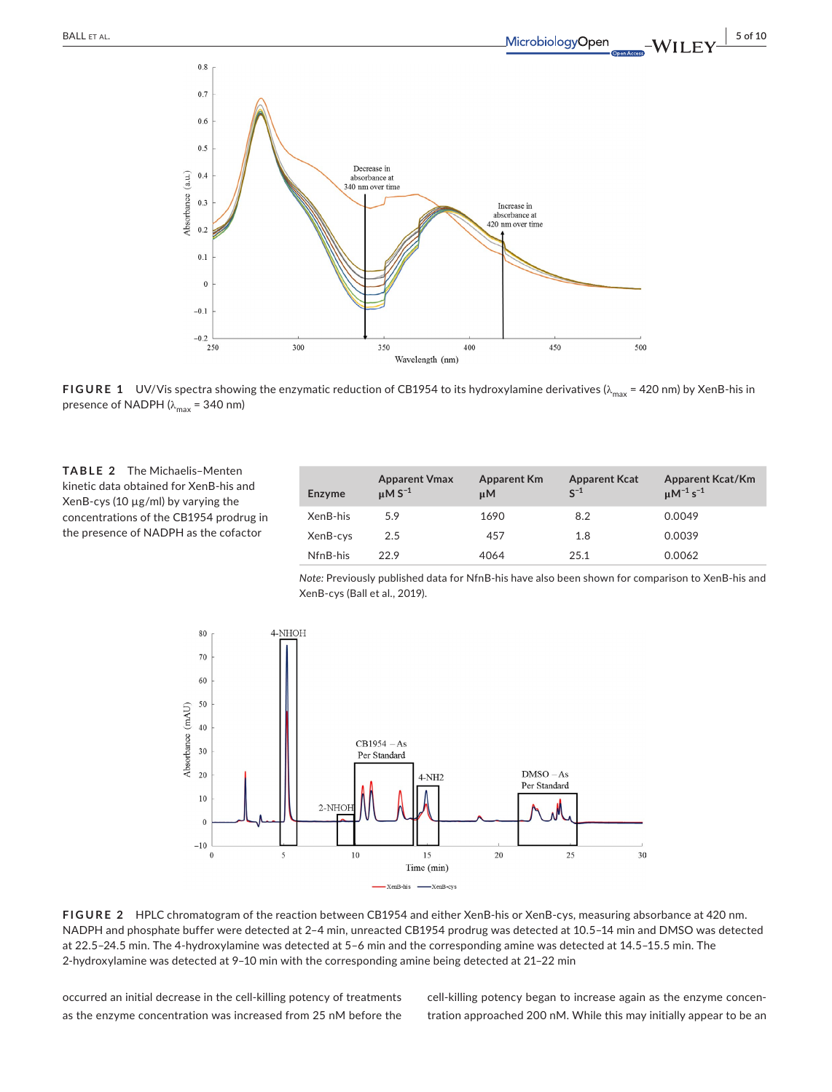

**FIGURE 1** UV/Vis spectra showing the enzymatic reduction of CB1954 to its hydroxylamine derivatives (λ<sub>max</sub> = 420 nm) by XenB-his in presence of NADPH ( $\lambda_{\text{max}}$  = 340 nm)

**TABLE 2**  The Michaelis–Menten kinetic data obtained for XenB-his and XenB-cys (10  $\mu$ g/ml) by varying the concentrations of the CB1954 prodrug in the presence of NADPH as the cofactor

| Enzyme   | <b>Apparent Vmax</b><br>$\mu$ MS <sup>-1</sup> | <b>Apparent Km</b><br>иM | <b>Apparent Kcat</b><br>$S^{-1}$ | <b>Apparent Kcat/Km</b><br>$\mu$ M <sup>-1</sup> s <sup>-1</sup> |
|----------|------------------------------------------------|--------------------------|----------------------------------|------------------------------------------------------------------|
| XenB-his | 5.9                                            | 1690                     | 8.2                              | 0.0049                                                           |
| XenB-cys | 2.5                                            | 457                      | 1.8                              | 0.0039                                                           |
| NfnB-his | 22.9                                           | 4064                     | 25.1                             | 0.0062                                                           |

*Note:* Previously published data for NfnB-his have also been shown for comparison to XenB-his and XenB-cys (Ball et al., 2019).



**FIGURE 2**  HPLC chromatogram of the reaction between CB1954 and either XenB-his or XenB-cys, measuring absorbance at 420 nm. NADPH and phosphate buffer were detected at 2–4 min, unreacted CB1954 prodrug was detected at 10.5–14 min and DMSO was detected at 22.5–24.5 min. The 4-hydroxylamine was detected at 5–6 min and the corresponding amine was detected at 14.5–15.5 min. The 2-hydroxylamine was detected at 9–10 min with the corresponding amine being detected at 21–22 min

occurred an initial decrease in the cell-killing potency of treatments as the enzyme concentration was increased from 25 nM before the cell-killing potency began to increase again as the enzyme concentration approached 200 nM. While this may initially appear to be an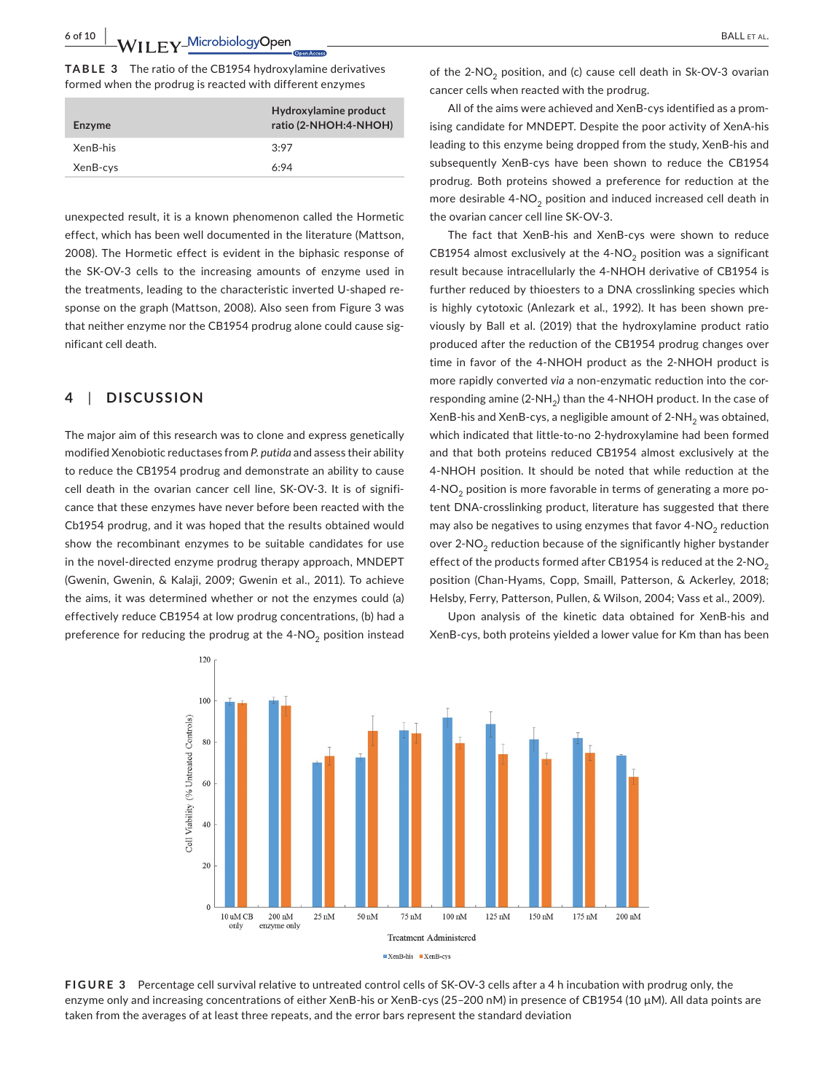**6 of 10 |**  BALL et al.

**TABLE 3**  The ratio of the CB1954 hydroxylamine derivatives formed when the prodrug is reacted with different enzymes

| Enzyme   | Hydroxylamine product<br>ratio (2-NHOH:4-NHOH) |
|----------|------------------------------------------------|
| XenB-his | 3:97                                           |
| XenB-cys | 6.94                                           |
|          |                                                |

unexpected result, it is a known phenomenon called the Hormetic effect, which has been well documented in the literature (Mattson, 2008). The Hormetic effect is evident in the biphasic response of the SK-OV-3 cells to the increasing amounts of enzyme used in the treatments, leading to the characteristic inverted U-shaped response on the graph (Mattson, 2008). Also seen from Figure 3 was that neither enzyme nor the CB1954 prodrug alone could cause significant cell death.

# **4**  | **DISCUSSION**

The major aim of this research was to clone and express genetically modified Xenobiotic reductases from *P. putida* and assess their ability to reduce the CB1954 prodrug and demonstrate an ability to cause cell death in the ovarian cancer cell line, SK-OV-3. It is of significance that these enzymes have never before been reacted with the Cb1954 prodrug, and it was hoped that the results obtained would show the recombinant enzymes to be suitable candidates for use in the novel-directed enzyme prodrug therapy approach, MNDEPT (Gwenin, Gwenin, & Kalaji, 2009; Gwenin et al., 2011). To achieve the aims, it was determined whether or not the enzymes could (a) effectively reduce CB1954 at low prodrug concentrations, (b) had a preference for reducing the prodrug at the  $4\text{-}NO_2$  position instead of the  $2-NO<sub>2</sub>$  position, and (c) cause cell death in Sk-OV-3 ovarian cancer cells when reacted with the prodrug.

All of the aims were achieved and XenB-cys identified as a promising candidate for MNDEPT. Despite the poor activity of XenA-his leading to this enzyme being dropped from the study, XenB-his and subsequently XenB-cys have been shown to reduce the CB1954 prodrug. Both proteins showed a preference for reduction at the more desirable  $4\text{-}NO_2$  position and induced increased cell death in the ovarian cancer cell line SK-OV-3.

The fact that XenB-his and XenB-cys were shown to reduce CB1954 almost exclusively at the  $4-NO<sub>2</sub>$  position was a significant result because intracellularly the 4-NHOH derivative of CB1954 is further reduced by thioesters to a DNA crosslinking species which is highly cytotoxic (Anlezark et al., 1992). It has been shown previously by Ball et al. (2019) that the hydroxylamine product ratio produced after the reduction of the CB1954 prodrug changes over time in favor of the 4-NHOH product as the 2-NHOH product is more rapidly converted *via* a non-enzymatic reduction into the corresponding amine (2-NH<sub>2</sub>) than the 4-NHOH product. In the case of XenB-his and XenB-cys, a negligible amount of  $2\text{-}NH_{2}$  was obtained, which indicated that little-to-no 2-hydroxylamine had been formed and that both proteins reduced CB1954 almost exclusively at the 4-NHOH position. It should be noted that while reduction at the  $4-NO<sub>2</sub>$  position is more favorable in terms of generating a more potent DNA-crosslinking product, literature has suggested that there may also be negatives to using enzymes that favor  $4\text{-}NO_2$  reduction over 2-NO<sub>2</sub> reduction because of the significantly higher bystander effect of the products formed after CB1954 is reduced at the  $2$ -NO<sub>2</sub> position (Chan-Hyams, Copp, Smaill, Patterson, & Ackerley, 2018; Helsby, Ferry, Patterson, Pullen, & Wilson, 2004; Vass et al., 2009).

Upon analysis of the kinetic data obtained for XenB-his and XenB-cys, both proteins yielded a lower value for Km than has been



**FIGURE 3**  Percentage cell survival relative to untreated control cells of SK-OV-3 cells after a 4 h incubation with prodrug only, the enzyme only and increasing concentrations of either XenB-his or XenB-cys (25-200 nM) in presence of CB1954 (10 µM). All data points are taken from the averages of at least three repeats, and the error bars represent the standard deviation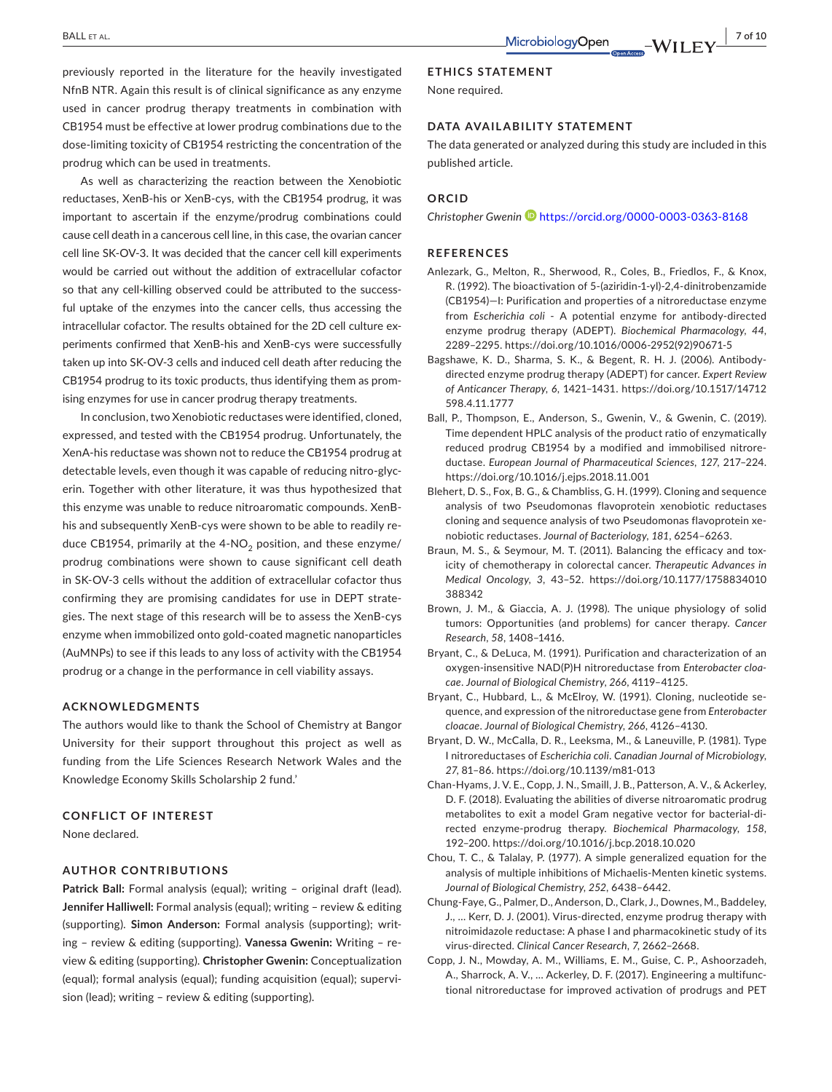previously reported in the literature for the heavily investigated NfnB NTR. Again this result is of clinical significance as any enzyme used in cancer prodrug therapy treatments in combination with CB1954 must be effective at lower prodrug combinations due to the dose-limiting toxicity of CB1954 restricting the concentration of the prodrug which can be used in treatments.

As well as characterizing the reaction between the Xenobiotic reductases, XenB-his or XenB-cys, with the CB1954 prodrug, it was important to ascertain if the enzyme/prodrug combinations could cause cell death in a cancerous cell line, in this case, the ovarian cancer cell line SK-OV-3. It was decided that the cancer cell kill experiments would be carried out without the addition of extracellular cofactor so that any cell-killing observed could be attributed to the successful uptake of the enzymes into the cancer cells, thus accessing the intracellular cofactor. The results obtained for the 2D cell culture experiments confirmed that XenB-his and XenB-cys were successfully taken up into SK-OV-3 cells and induced cell death after reducing the CB1954 prodrug to its toxic products, thus identifying them as promising enzymes for use in cancer prodrug therapy treatments.

In conclusion, two Xenobiotic reductases were identified, cloned, expressed, and tested with the CB1954 prodrug. Unfortunately, the XenA-his reductase was shown not to reduce the CB1954 prodrug at detectable levels, even though it was capable of reducing nitro-glycerin. Together with other literature, it was thus hypothesized that this enzyme was unable to reduce nitroaromatic compounds. XenBhis and subsequently XenB-cys were shown to be able to readily reduce CB1954, primarily at the  $4\text{-}NO<sub>2</sub>$  position, and these enzyme/ prodrug combinations were shown to cause significant cell death in SK-OV-3 cells without the addition of extracellular cofactor thus confirming they are promising candidates for use in DEPT strategies. The next stage of this research will be to assess the XenB-cys enzyme when immobilized onto gold-coated magnetic nanoparticles (AuMNPs) to see if this leads to any loss of activity with the CB1954 prodrug or a change in the performance in cell viability assays.

#### **ACKNOWLEDGMENTS**

The authors would like to thank the School of Chemistry at Bangor University for their support throughout this project as well as funding from the Life Sciences Research Network Wales and the Knowledge Economy Skills Scholarship 2 fund.'

#### **CONFLICT OF INTEREST**

None declared.

#### **AUTHOR CONTRIBUTIONS**

Patrick Ball: Formal analysis (equal); writing - original draft (lead). **Jennifer Halliwell:** Formal analysis (equal); writing – review & editing (supporting). **Simon Anderson:** Formal analysis (supporting); writing – review & editing (supporting). **Vanessa Gwenin:** Writing – review & editing (supporting). **Christopher Gwenin:** Conceptualization (equal); formal analysis (equal); funding acquisition (equal); supervision (lead); writing – review & editing (supporting).

#### **ETHICS STATEMENT**

None required.

#### **DATA AVAILABILITY STATEMENT**

The data generated or analyzed during this study are included in this published article.

#### **ORCID**

*Christopher Gwenin* <https://orcid.org/0000-0003-0363-8168>

#### **REFERENCES**

- Anlezark, G., Melton, R., Sherwood, R., Coles, B., Friedlos, F., & Knox, R. (1992). The bioactivation of 5-(aziridin-1-yl)-2,4-dinitrobenzamide (CB1954)—I: Purification and properties of a nitroreductase enzyme from *Escherichia coli* - A potential enzyme for antibody-directed enzyme prodrug therapy (ADEPT). *Biochemical Pharmacology*, *44*, 2289–2295. [https://doi.org/10.1016/0006-2952\(92\)90671-5](https://doi.org/10.1016/0006-2952(92)90671-5)
- Bagshawe, K. D., Sharma, S. K., & Begent, R. H. J. (2006). Antibodydirected enzyme prodrug therapy (ADEPT) for cancer. *Expert Review of Anticancer Therapy*, *6*, 1421–1431. [https://doi.org/10.1517/14712](https://doi.org/10.1517/14712598.4.11.1777) [598.4.11.1777](https://doi.org/10.1517/14712598.4.11.1777)
- Ball, P., Thompson, E., Anderson, S., Gwenin, V., & Gwenin, C. (2019). Time dependent HPLC analysis of the product ratio of enzymatically reduced prodrug CB1954 by a modified and immobilised nitroreductase. *European Journal of Pharmaceutical Sciences*, *127*, 217–224. <https://doi.org/10.1016/j.ejps.2018.11.001>
- Blehert, D. S., Fox, B. G., & Chambliss, G. H. (1999). Cloning and sequence analysis of two Pseudomonas flavoprotein xenobiotic reductases cloning and sequence analysis of two Pseudomonas flavoprotein xenobiotic reductases. *Journal of Bacteriology*, *181*, 6254–6263.
- Braun, M. S., & Seymour, M. T. (2011). Balancing the efficacy and toxicity of chemotherapy in colorectal cancer. *Therapeutic Advances in Medical Oncology*, *3*, 43–52. [https://doi.org/10.1177/1758834010](https://doi.org/10.1177/1758834010388342) [388342](https://doi.org/10.1177/1758834010388342)
- Brown, J. M., & Giaccia, A. J. (1998). The unique physiology of solid tumors: Opportunities (and problems) for cancer therapy. *Cancer Research*, *58*, 1408–1416.
- Bryant, C., & DeLuca, M. (1991). Purification and characterization of an oxygen-insensitive NAD(P)H nitroreductase from *Enterobacter cloacae*. *Journal of Biological Chemistry*, *266*, 4119–4125.
- Bryant, C., Hubbard, L., & McElroy, W. (1991). Cloning, nucleotide sequence, and expression of the nitroreductase gene from *Enterobacter cloacae*. *Journal of Biological Chemistry*, *266*, 4126–4130.
- Bryant, D. W., McCalla, D. R., Leeksma, M., & Laneuville, P. (1981). Type I nitroreductases of *Escherichia coli*. *Canadian Journal of Microbiology*, *27*, 81–86. <https://doi.org/10.1139/m81-013>
- Chan-Hyams, J. V. E., Copp, J. N., Smaill, J. B., Patterson, A. V., & Ackerley, D. F. (2018). Evaluating the abilities of diverse nitroaromatic prodrug metabolites to exit a model Gram negative vector for bacterial-directed enzyme-prodrug therapy. *Biochemical Pharmacology*, *158*, 192–200. <https://doi.org/10.1016/j.bcp.2018.10.020>
- Chou, T. C., & Talalay, P. (1977). A simple generalized equation for the analysis of multiple inhibitions of Michaelis-Menten kinetic systems. *Journal of Biological Chemistry*, *252*, 6438–6442.
- Chung-Faye, G., Palmer, D., Anderson, D., Clark, J., Downes, M., Baddeley, J., … Kerr, D. J. (2001). Virus-directed, enzyme prodrug therapy with nitroimidazole reductase: A phase I and pharmacokinetic study of its virus-directed. *Clinical Cancer Research*, *7*, 2662–2668.
- Copp, J. N., Mowday, A. M., Williams, E. M., Guise, C. P., Ashoorzadeh, A., Sharrock, A. V., … Ackerley, D. F. (2017). Engineering a multifunctional nitroreductase for improved activation of prodrugs and PET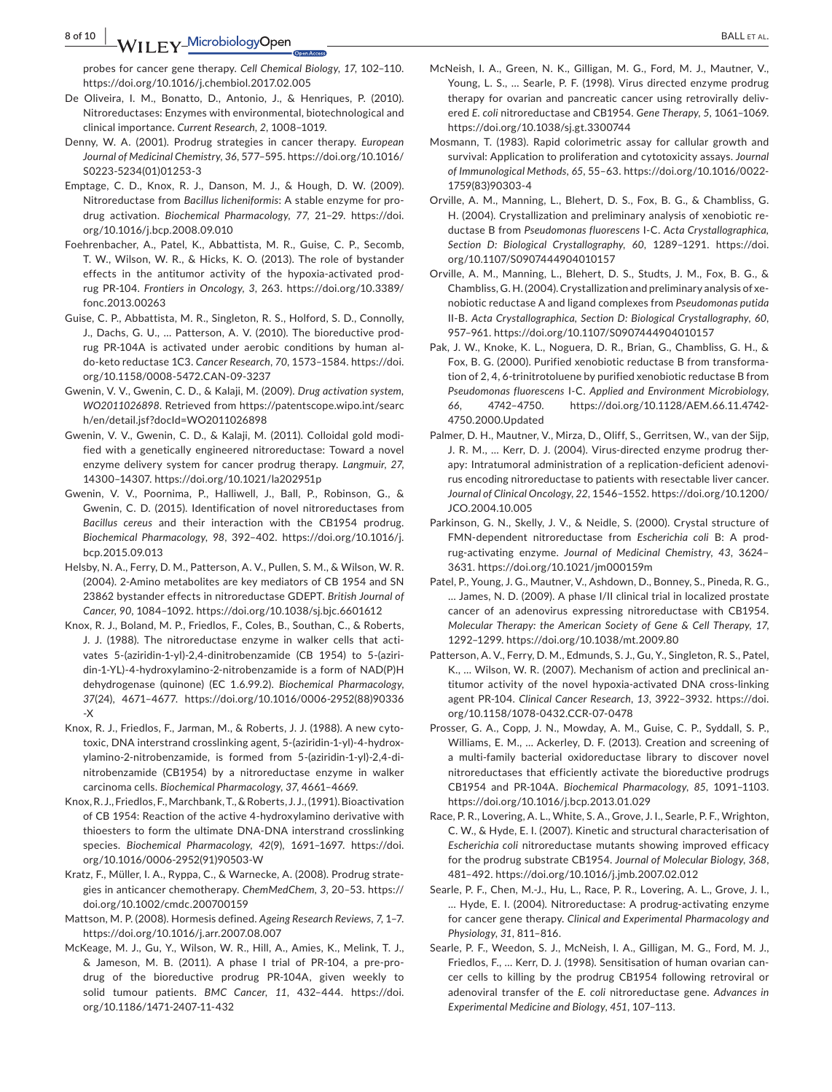**8 of 10 |**  BALL et al.

probes for cancer gene therapy. *Cell Chemical Biology*, *17*, 102–110. <https://doi.org/10.1016/j.chembiol.2017.02.005>

- De Oliveira, I. M., Bonatto, D., Antonio, J., & Henriques, P. (2010). Nitroreductases: Enzymes with environmental, biotechnological and clinical importance. *Current Research*, *2*, 1008–1019.
- Denny, W. A. (2001). Prodrug strategies in cancer therapy. *European Journal of Medicinal Chemistry*, *36*, 577–595. [https://doi.org/10.1016/](https://doi.org/10.1016/S0223-5234(01)01253-3) [S0223-5234\(01\)01253-3](https://doi.org/10.1016/S0223-5234(01)01253-3)
- Emptage, C. D., Knox, R. J., Danson, M. J., & Hough, D. W. (2009). Nitroreductase from *Bacillus licheniformis*: A stable enzyme for prodrug activation. *Biochemical Pharmacology*, *77*, 21–29. [https://doi.](https://doi.org/10.1016/j.bcp.2008.09.010) [org/10.1016/j.bcp.2008.09.010](https://doi.org/10.1016/j.bcp.2008.09.010)
- Foehrenbacher, A., Patel, K., Abbattista, M. R., Guise, C. P., Secomb, T. W., Wilson, W. R., & Hicks, K. O. (2013). The role of bystander effects in the antitumor activity of the hypoxia-activated prodrug PR-104. *Frontiers in Oncology*, *3*, 263. [https://doi.org/10.3389/](https://doi.org/10.3389/fonc.2013.00263) [fonc.2013.00263](https://doi.org/10.3389/fonc.2013.00263)
- Guise, C. P., Abbattista, M. R., Singleton, R. S., Holford, S. D., Connolly, J., Dachs, G. U., … Patterson, A. V. (2010). The bioreductive prodrug PR-104A is activated under aerobic conditions by human aldo-keto reductase 1C3. *Cancer Research*, *70*, 1573–1584. [https://doi.](https://doi.org/10.1158/0008-5472.CAN-09-3237) [org/10.1158/0008-5472.CAN-09-3237](https://doi.org/10.1158/0008-5472.CAN-09-3237)
- Gwenin, V. V., Gwenin, C. D., & Kalaji, M. (2009). *Drug activation system, WO2011026898*. Retrieved from [https://patentscope.wipo.int/searc](https://patentscope.wipo.int/search/en/detail.jsf?docId=WO2011026898) [h/en/detail.jsf?docId=WO2011026898](https://patentscope.wipo.int/search/en/detail.jsf?docId=WO2011026898)
- Gwenin, V. V., Gwenin, C. D., & Kalaji, M. (2011). Colloidal gold modified with a genetically engineered nitroreductase: Toward a novel enzyme delivery system for cancer prodrug therapy. *Langmuir*, *27*, 14300–14307. <https://doi.org/10.1021/la202951p>
- Gwenin, V. V., Poornima, P., Halliwell, J., Ball, P., Robinson, G., & Gwenin, C. D. (2015). Identification of novel nitroreductases from *Bacillus cereus* and their interaction with the CB1954 prodrug. *Biochemical Pharmacology*, *98*, 392–402. [https://doi.org/10.1016/j.](https://doi.org/10.1016/j.bcp.2015.09.013) [bcp.2015.09.013](https://doi.org/10.1016/j.bcp.2015.09.013)
- Helsby, N. A., Ferry, D. M., Patterson, A. V., Pullen, S. M., & Wilson, W. R. (2004). 2-Amino metabolites are key mediators of CB 1954 and SN 23862 bystander effects in nitroreductase GDEPT. *British Journal of Cancer*, *90*, 1084–1092. <https://doi.org/10.1038/sj.bjc.6601612>
- Knox, R. J., Boland, M. P., Friedlos, F., Coles, B., Southan, C., & Roberts, J. J. (1988). The nitroreductase enzyme in walker cells that activates 5-(aziridin-1-yl)-2,4-dinitrobenzamide (CB 1954) to 5-(aziridin-1-YL)-4-hydroxylamino-2-nitrobenzamide is a form of NAD(P)H dehydrogenase (quinone) (EC 1.6.99.2). *Biochemical Pharmacology*, *37*(24), 4671–4677. [https://doi.org/10.1016/0006-2952\(88\)90336](https://doi.org/10.1016/0006-2952(88)90336-X) [-X](https://doi.org/10.1016/0006-2952(88)90336-X)
- Knox, R. J., Friedlos, F., Jarman, M., & Roberts, J. J. (1988). A new cytotoxic, DNA interstrand crosslinking agent, 5-(aziridin-1-yl)-4-hydroxylamino-2-nitrobenzamide, is formed from 5-(aziridin-1-yl)-2,4-dinitrobenzamide (CB1954) by a nitroreductase enzyme in walker carcinoma cells. *Biochemical Pharmacology*, *37*, 4661–4669.
- Knox, R. J., Friedlos, F., Marchbank, T., & Roberts, J. J., (1991). Bioactivation of CB 1954: Reaction of the active 4-hydroxylamino derivative with thioesters to form the ultimate DNA-DNA interstrand crosslinking species. *Biochemical Pharmacology*, *42*(9), 1691–1697. [https://doi.](https://doi.org/10.1016/0006-2952(91)90503-W) [org/10.1016/0006-2952\(91\)90503-W](https://doi.org/10.1016/0006-2952(91)90503-W)
- Kratz, F., Müller, I. A., Ryppa, C., & Warnecke, A. (2008). Prodrug strategies in anticancer chemotherapy. *ChemMedChem*, *3*, 20–53. [https://](https://doi.org/10.1002/cmdc.200700159) [doi.org/10.1002/cmdc.200700159](https://doi.org/10.1002/cmdc.200700159)
- Mattson, M. P. (2008). Hormesis defined. *Ageing Research Reviews*, *7*, 1–7. <https://doi.org/10.1016/j.arr.2007.08.007>
- McKeage, M. J., Gu, Y., Wilson, W. R., Hill, A., Amies, K., Melink, T. J., & Jameson, M. B. (2011). A phase I trial of PR-104, a pre-prodrug of the bioreductive prodrug PR-104A, given weekly to solid tumour patients. *BMC Cancer*, *11*, 432–444. [https://doi.](https://doi.org/10.1186/1471-2407-11-432) [org/10.1186/1471-2407-11-432](https://doi.org/10.1186/1471-2407-11-432)
- McNeish, I. A., Green, N. K., Gilligan, M. G., Ford, M. J., Mautner, V., Young, L. S., … Searle, P. F. (1998). Virus directed enzyme prodrug therapy for ovarian and pancreatic cancer using retrovirally delivered *E. coli* nitroreductase and CB1954. *Gene Therapy*, *5*, 1061–1069. <https://doi.org/10.1038/sj.gt.3300744>
- Mosmann, T. (1983). Rapid colorimetric assay for callular growth and survival: Application to proliferation and cytotoxicity assays. *Journal of Immunological Methods*, *65*, 55–63. [https://doi.org/10.1016/0022-](https://doi.org/10.1016/0022-1759(83)90303-4) [1759\(83\)90303-4](https://doi.org/10.1016/0022-1759(83)90303-4)
- Orville, A. M., Manning, L., Blehert, D. S., Fox, B. G., & Chambliss, G. H. (2004). Crystallization and preliminary analysis of xenobiotic reductase B from *Pseudomonas fluorescens* I-C. *Acta Crystallographica, Section D: Biological Crystallography*, *60*, 1289–1291. [https://doi.](https://doi.org/10.1107/S0907444904010157) [org/10.1107/S0907444904010157](https://doi.org/10.1107/S0907444904010157)
- Orville, A. M., Manning, L., Blehert, D. S., Studts, J. M., Fox, B. G., & Chambliss, G. H. (2004). Crystallization and preliminary analysis of xenobiotic reductase A and ligand complexes from *Pseudomonas putida* II-B. *Acta Crystallographica, Section D: Biological Crystallography*, *60*, 957–961. <https://doi.org/10.1107/S0907444904010157>
- Pak, J. W., Knoke, K. L., Noguera, D. R., Brian, G., Chambliss, G. H., & Fox, B. G. (2000). Purified xenobiotic reductase B from transformation of 2, 4, 6-trinitrotoluene by purified xenobiotic reductase B from *Pseudomonas fluorescens* I-C. *Applied and Environment Microbiology*, *66*, 4742–4750. [https://doi.org/10.1128/AEM.66.11.4742-](https://doi.org/10.1128/AEM.66.11.4742-4750.2000.Updated) [4750.2000.Updated](https://doi.org/10.1128/AEM.66.11.4742-4750.2000.Updated)
- Palmer, D. H., Mautner, V., Mirza, D., Oliff, S., Gerritsen, W., van der Sijp, J. R. M., … Kerr, D. J. (2004). Virus-directed enzyme prodrug therapy: Intratumoral administration of a replication-deficient adenovirus encoding nitroreductase to patients with resectable liver cancer. *Journal of Clinical Oncology*, *22*, 1546–1552. [https://doi.org/10.1200/](https://doi.org/10.1200/JCO.2004.10.005) [JCO.2004.10.005](https://doi.org/10.1200/JCO.2004.10.005)
- Parkinson, G. N., Skelly, J. V., & Neidle, S. (2000). Crystal structure of FMN-dependent nitroreductase from *Escherichia coli* B: A prodrug-activating enzyme. *Journal of Medicinal Chemistry*, *43*, 3624– 3631.<https://doi.org/10.1021/jm000159m>
- Patel, P., Young, J. G., Mautner, V., Ashdown, D., Bonney, S., Pineda, R. G., … James, N. D. (2009). A phase I/II clinical trial in localized prostate cancer of an adenovirus expressing nitroreductase with CB1954. *Molecular Therapy: the American Society of Gene & Cell Therapy*, *17*, 1292–1299.<https://doi.org/10.1038/mt.2009.80>
- Patterson, A. V., Ferry, D. M., Edmunds, S. J., Gu, Y., Singleton, R. S., Patel, K., … Wilson, W. R. (2007). Mechanism of action and preclinical antitumor activity of the novel hypoxia-activated DNA cross-linking agent PR-104. *Clinical Cancer Research*, *13*, 3922–3932. [https://doi.](https://doi.org/10.1158/1078-0432.CCR-07-0478) [org/10.1158/1078-0432.CCR-07-0478](https://doi.org/10.1158/1078-0432.CCR-07-0478)
- Prosser, G. A., Copp, J. N., Mowday, A. M., Guise, C. P., Syddall, S. P., Williams, E. M., … Ackerley, D. F. (2013). Creation and screening of a multi-family bacterial oxidoreductase library to discover novel nitroreductases that efficiently activate the bioreductive prodrugs CB1954 and PR-104A. *Biochemical Pharmacology*, *85*, 1091–1103. <https://doi.org/10.1016/j.bcp.2013.01.029>
- Race, P. R., Lovering, A. L., White, S. A., Grove, J. I., Searle, P. F., Wrighton, C. W., & Hyde, E. I. (2007). Kinetic and structural characterisation of *Escherichia coli* nitroreductase mutants showing improved efficacy for the prodrug substrate CB1954. *Journal of Molecular Biology*, *368*, 481–492. <https://doi.org/10.1016/j.jmb.2007.02.012>
- Searle, P. F., Chen, M.-J., Hu, L., Race, P. R., Lovering, A. L., Grove, J. I., … Hyde, E. I. (2004). Nitroreductase: A prodrug-activating enzyme for cancer gene therapy. *Clinical and Experimental Pharmacology and Physiology*, *31*, 811–816.
- Searle, P. F., Weedon, S. J., McNeish, I. A., Gilligan, M. G., Ford, M. J., Friedlos, F., … Kerr, D. J. (1998). Sensitisation of human ovarian cancer cells to killing by the prodrug CB1954 following retroviral or adenoviral transfer of the *E. coli* nitroreductase gene. *Advances in Experimental Medicine and Biology*, *451*, 107–113.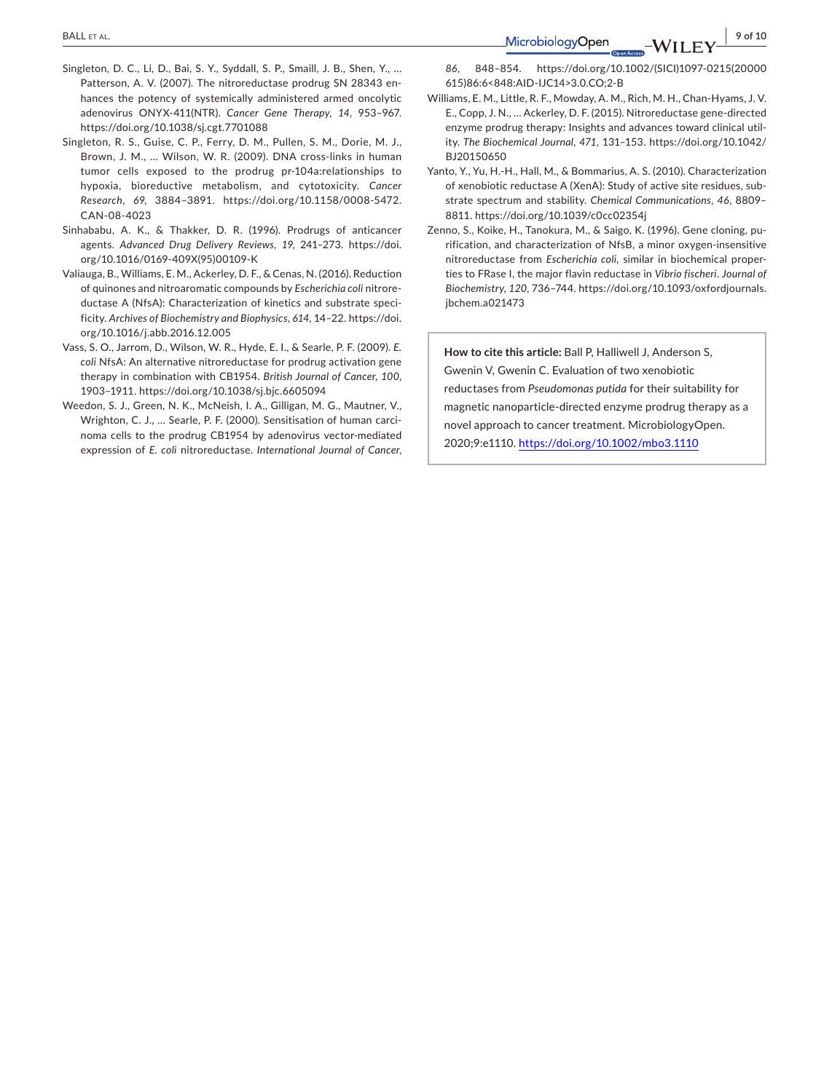- Singleton, D. C., Li, D., Bai, S. Y., Syddall, S. P., Smaill, J. B., Shen, Y., … Patterson, A. V. (2007). The nitroreductase prodrug SN 28343 enhances the potency of systemically administered armed oncolytic adenovirus ONYX-411(NTR). *Cancer Gene Therapy*, *14*, 953–967. <https://doi.org/10.1038/sj.cgt.7701088>
- Singleton, R. S., Guise, C. P., Ferry, D. M., Pullen, S. M., Dorie, M. J., Brown, J. M., … Wilson, W. R. (2009). DNA cross-links in human tumor cells exposed to the prodrug pr-104a:relationships to hypoxia, bioreductive metabolism, and cytotoxicity. *Cancer Research*, *69*, 3884–3891. [https://doi.org/10.1158/0008-5472.](https://doi.org/10.1158/0008-5472.CAN-08-4023) [CAN-08-4023](https://doi.org/10.1158/0008-5472.CAN-08-4023)
- Sinhababu, A. K., & Thakker, D. R. (1996). Prodrugs of anticancer agents. *Advanced Drug Delivery Reviews*, *19*, 241–273. [https://doi.](https://doi.org/10.1016/0169-409X(95)00109-K) [org/10.1016/0169-409X\(95\)00109-K](https://doi.org/10.1016/0169-409X(95)00109-K)
- Valiauga, B., Williams, E. M., Ackerley, D. F., & Cenas, N. (2016). Reduction of quinones and nitroaromatic compounds by *Escherichia coli* nitroreductase A (NfsA): Characterization of kinetics and substrate specificity. *Archives of Biochemistry and Biophysics*, *614*, 14–22. [https://doi.](https://doi.org/10.1016/j.abb.2016.12.005) [org/10.1016/j.abb.2016.12.005](https://doi.org/10.1016/j.abb.2016.12.005)
- Vass, S. O., Jarrom, D., Wilson, W. R., Hyde, E. I., & Searle, P. F. (2009). *E. coli* NfsA: An alternative nitroreductase for prodrug activation gene therapy in combination with CB1954. *British Journal of Cancer*, *100*, 1903–1911. <https://doi.org/10.1038/sj.bjc.6605094>
- Weedon, S. J., Green, N. K., McNeish, I. A., Gilligan, M. G., Mautner, V., Wrighton, C. J., … Searle, P. F. (2000). Sensitisation of human carcinoma cells to the prodrug CB1954 by adenovirus vector-mediated expression of *E. coli* nitroreductase. *International Journal of Cancer*,

 **BALLETAL.**  $\left|\n \begin{array}{ccc}\n 9 & 9 & 6 & 10 \\
1 & 9 & 0 & 10 \\
1 & 9 & 0 & 10\n \end{array}\n\right|$ 

*86*, 848–854. [https://doi.org/10.1002/\(SICI\)1097-0215\(20000](https://doi.org/10.1002/(SICI)1097-0215(20000615)86:6%3C848:AID-IJC14%3E3.0.CO;2-B) [615\)86:6<848:AID-IJC14>3.0.CO;2-B](https://doi.org/10.1002/(SICI)1097-0215(20000615)86:6%3C848:AID-IJC14%3E3.0.CO;2-B)

- Williams, E. M., Little, R. F., Mowday, A. M., Rich, M. H., Chan-Hyams, J. V. E., Copp, J. N., … Ackerley, D. F. (2015). Nitroreductase gene-directed enzyme prodrug therapy: Insights and advances toward clinical utility. *The Biochemical Journal*, *471*, 131–153. [https://doi.org/10.1042/](https://doi.org/10.1042/BJ20150650) [BJ20150650](https://doi.org/10.1042/BJ20150650)
- Yanto, Y., Yu, H.-H., Hall, M., & Bommarius, A. S. (2010). Characterization of xenobiotic reductase A (XenA): Study of active site residues, substrate spectrum and stability. *Chemical Communications*, *46*, 8809– 8811.<https://doi.org/10.1039/c0cc02354j>
- Zenno, S., Koike, H., Tanokura, M., & Saigo, K. (1996). Gene cloning, purification, and characterization of NfsB, a minor oxygen-insensitive nitroreductase from *Escherichia coli*, similar in biochemical properties to FRase I, the major flavin reductase in *Vibrio fischeri*. *Journal of Biochemistry*, *120*, 736–744. [https://doi.org/10.1093/oxfordjournals.](https://doi.org/10.1093/oxfordjournals.jbchem.a021473) [jbchem.a021473](https://doi.org/10.1093/oxfordjournals.jbchem.a021473)

**How to cite this article:** Ball P, Halliwell J, Anderson S, Gwenin V, Gwenin C. Evaluation of two xenobiotic reductases from *Pseudomonas putida* for their suitability for magnetic nanoparticle-directed enzyme prodrug therapy as a novel approach to cancer treatment. MicrobiologyOpen. 2020;9:e1110.<https://doi.org/10.1002/mbo3.1110>